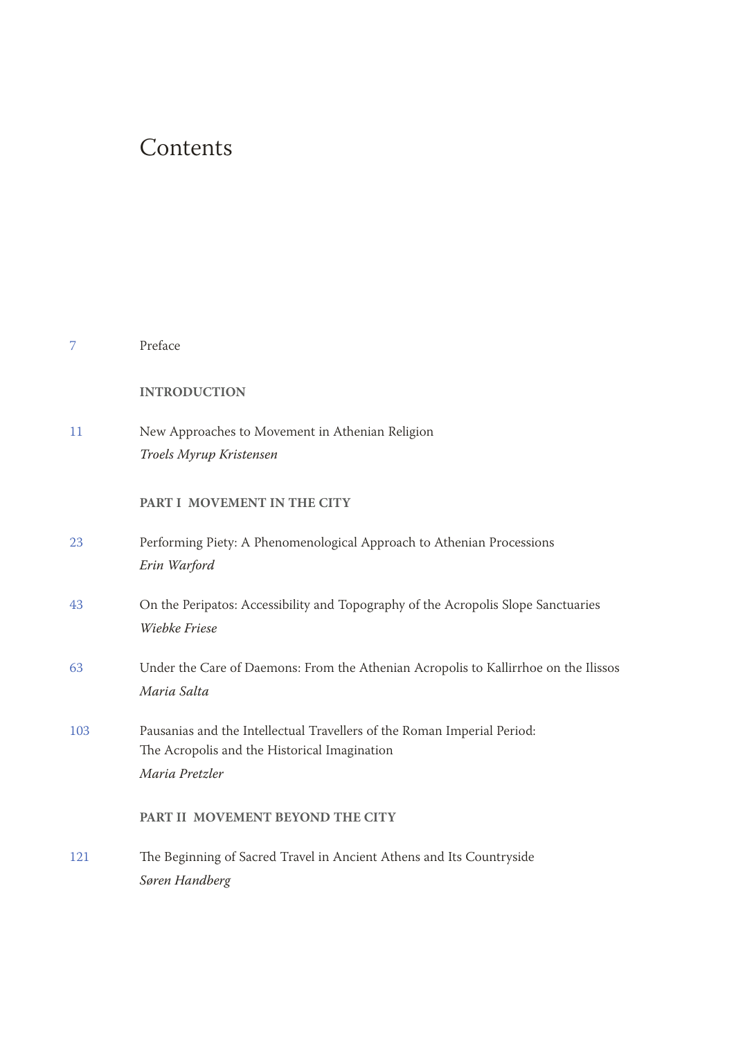## **Contents**

| 7   | Preface                                                                                                                                   |
|-----|-------------------------------------------------------------------------------------------------------------------------------------------|
|     | <b>INTRODUCTION</b>                                                                                                                       |
| 11  | New Approaches to Movement in Athenian Religion<br>Troels Myrup Kristensen                                                                |
|     | PART I MOVEMENT IN THE CITY                                                                                                               |
| 23  | Performing Piety: A Phenomenological Approach to Athenian Processions<br>Erin Warford                                                     |
| 43  | On the Peripatos: Accessibility and Topography of the Acropolis Slope Sanctuaries<br>Wiebke Friese                                        |
| 63  | Under the Care of Daemons: From the Athenian Acropolis to Kallirrhoe on the Ilissos<br>Maria Salta                                        |
| 103 | Pausanias and the Intellectual Travellers of the Roman Imperial Period:<br>The Acropolis and the Historical Imagination<br>Maria Pretzler |
|     | PART II MOVEMENT BEYOND THE CITY                                                                                                          |
| 121 | The Beginning of Sacred Travel in Ancient Athens and Its Countryside<br>Søren Handberg                                                    |